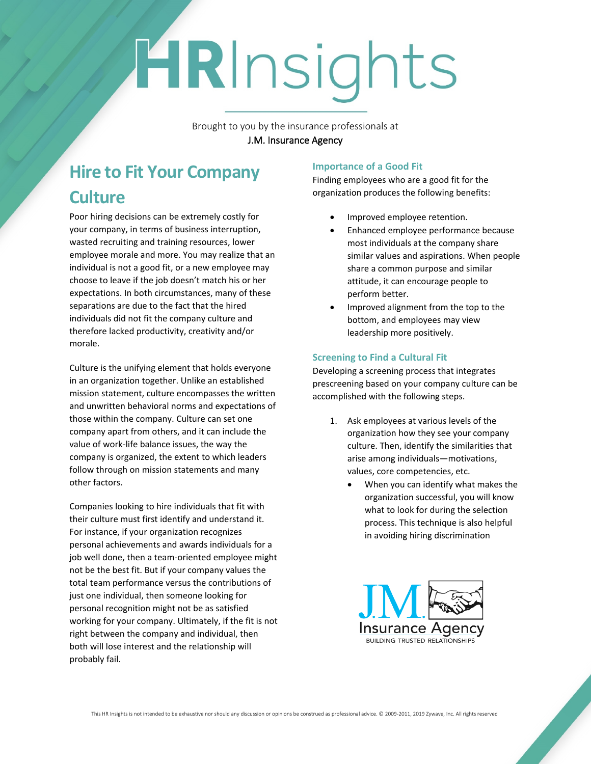# HRInsights

Brought to you by the insurance professionals at **J.M. Insurance Agency**

## **Hire to Fit Your Company Culture**

Poor hiring decisions can be extremely costly for your company, in terms of business interruption, wasted recruiting and training resources, lower employee morale and more. You may realize that an individual is not a good fit, or a new employee may choose to leave if the job doesn't match his or her expectations. In both circumstances, many of these separations are due to the fact that the hired individuals did not fit the company culture and therefore lacked productivity, creativity and/or morale.

Culture is the unifying element that holds everyone in an organization together. Unlike an established mission statement, culture encompasses the written and unwritten behavioral norms and expectations of those within the company. Culture can set one company apart from others, and it can include the value of work-life balance issues, the way the company is organized, the extent to which leaders follow through on mission statements and many other factors.

Companies looking to hire individuals that fit with their culture must first identify and understand it. For instance, if your organization recognizes personal achievements and awards individuals for a job well done, then a team-oriented employee might not be the best fit. But if your company values the total team performance versus the contributions of just one individual, then someone looking for personal recognition might not be as satisfied working for your company. Ultimately, if the fit is not right between the company and individual, then both will lose interest and the relationship will probably fail.

#### **Importance of a Good Fit**

Finding employees who are a good fit for the organization produces the following benefits:

- Improved employee retention.
- Enhanced employee performance because most individuals at the company share similar values and aspirations. When people share a common purpose and similar attitude, it can encourage people to perform better.
- Improved alignment from the top to the bottom, and employees may view leadership more positively.

### **Screening to Find a Cultural Fit**

Developing a screening process that integrates prescreening based on your company culture can be accomplished with the following steps.

- 1. Ask employees at various levels of the organization how they see your company culture. Then, identify the similarities that arise among individuals—motivations, values, core competencies, etc.
	- When you can identify what makes the organization successful, you will know what to look for during the selection process. This technique is also helpful in avoiding hiring discrimination